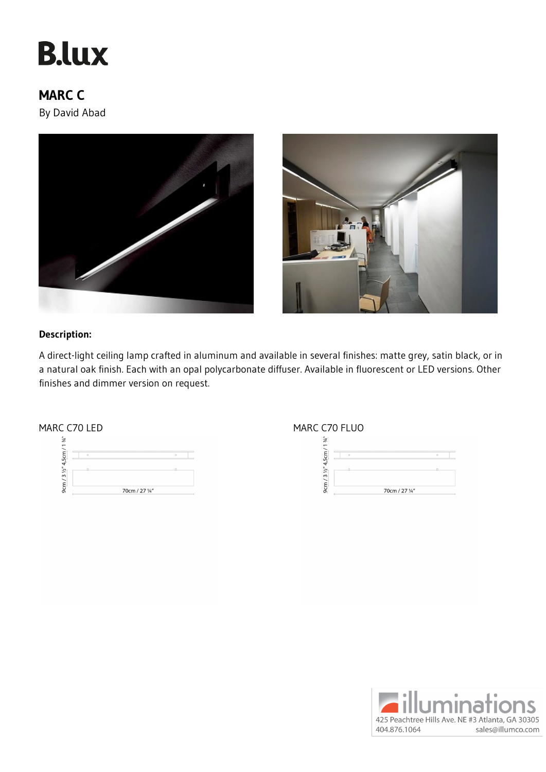# **B.lux**

## **MARC C**

By David Abad





## **Description:**

A direct-light ceiling lamp crafted in aluminum and available in several finishes: matte grey, satin black, or in a natural oak finish. Each with an opal polycarbonate diffuser. Available in fluorescent or LED versions. Other finishes and dimmer version on request.



### MARC C70 LED MARC C70 FLUO



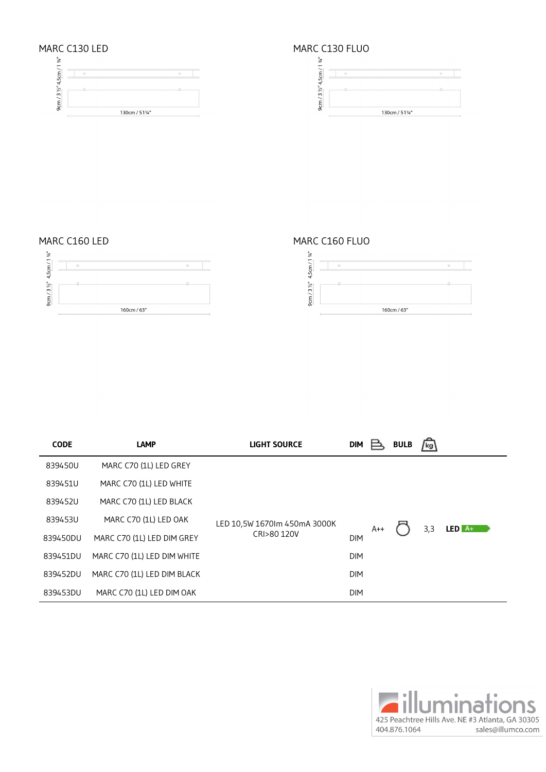





## MARC C160 LED MARC C160 FLUO



| <b>CODE</b> | <b>LAMP</b>                 | <b>LIGHT SOURCE</b>                         | <b>DIM</b> |       | <b>BULB</b> | /kg\        |
|-------------|-----------------------------|---------------------------------------------|------------|-------|-------------|-------------|
| 839450U     | MARC C70 (1L) LED GREY      | LED 10,5W 1670lm 450mA 3000K<br>CRI>80 120V |            |       |             |             |
| 839451U     | MARC C70 (1L) LED WHITE     |                                             |            |       |             |             |
| 839452U     | MARC C70 (1L) LED BLACK     |                                             |            | $A++$ |             |             |
| 839453U     | MARC C70 (1L) LED OAK       |                                             |            |       |             | $LED $ $A+$ |
| 839450DU    | MARC C70 (1L) LED DIM GREY  |                                             | <b>DIM</b> |       |             | 3,3         |
| 839451DU    | MARC C70 (1L) LED DIM WHITE |                                             | <b>DIM</b> |       |             |             |
| 839452DU    | MARC C70 (1L) LED DIM BLACK |                                             | <b>DIM</b> |       |             |             |
| 839453DU    | MARC C70 (1L) LED DIM OAK   |                                             | <b>DIM</b> |       |             |             |